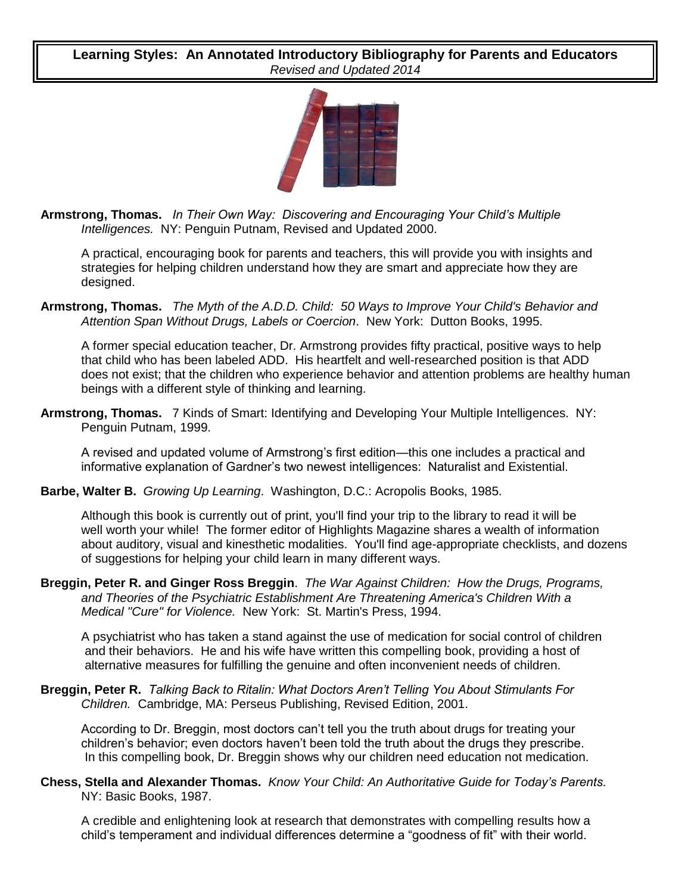**Learning Styles: An Annotated Introductory Bibliography for Parents and Educators** *Revised and Updated 2014*



**Armstrong, Thomas.** *In Their Own Way: Discovering and Encouraging Your Child's Multiple Intelligences.* NY: Penguin Putnam, Revised and Updated 2000.

A practical, encouraging book for parents and teachers, this will provide you with insights and strategies for helping children understand how they are smart and appreciate how they are designed.

**Armstrong, Thomas.** *The Myth of the A.D.D. Child: 50 Ways to Improve Your Child's Behavior and Attention Span Without Drugs, Labels or Coercion*. New York: Dutton Books, 1995.

A former special education teacher, Dr. Armstrong provides fifty practical, positive ways to help that child who has been labeled ADD. His heartfelt and well-researched position is that ADD does not exist; that the children who experience behavior and attention problems are healthy human beings with a different style of thinking and learning.

**Armstrong, Thomas.** 7 Kinds of Smart: Identifying and Developing Your Multiple Intelligences. NY: Penguin Putnam, 1999.

A revised and updated volume of Armstrong's first edition—this one includes a practical and informative explanation of Gardner's two newest intelligences: Naturalist and Existential.

## **Barbe, Walter B.** *Growing Up Learning*. Washington, D.C.: Acropolis Books, 1985.

Although this book is currently out of print, you'll find your trip to the library to read it will be well worth your while! The former editor of Highlights Magazine shares a wealth of information about auditory, visual and kinesthetic modalities. You'll find age-appropriate checklists, and dozens of suggestions for helping your child learn in many different ways.

**Breggin, Peter R. and Ginger Ross Breggin**. *The War Against Children: How the Drugs, Programs, and Theories of the Psychiatric Establishment Are Threatening America's Children With a Medical "Cure" for Violence.* New York: St. Martin's Press, 1994.

A psychiatrist who has taken a stand against the use of medication for social control of children and their behaviors. He and his wife have written this compelling book, providing a host of alternative measures for fulfilling the genuine and often inconvenient needs of children.

## **Breggin, Peter R.** *Talking Back to Ritalin: What Doctors Aren't Telling You About Stimulants For Children.* Cambridge, MA: Perseus Publishing, Revised Edition, 2001.

According to Dr. Breggin, most doctors can't tell you the truth about drugs for treating your children's behavior; even doctors haven't been told the truth about the drugs they prescribe. In this compelling book, Dr. Breggin shows why our children need education not medication.

## **Chess, Stella and Alexander Thomas.** *Know Your Child: An Authoritative Guide for Today's Parents.* NY: Basic Books, 1987.

A credible and enlightening look at research that demonstrates with compelling results how a child's temperament and individual differences determine a "goodness of fit" with their world.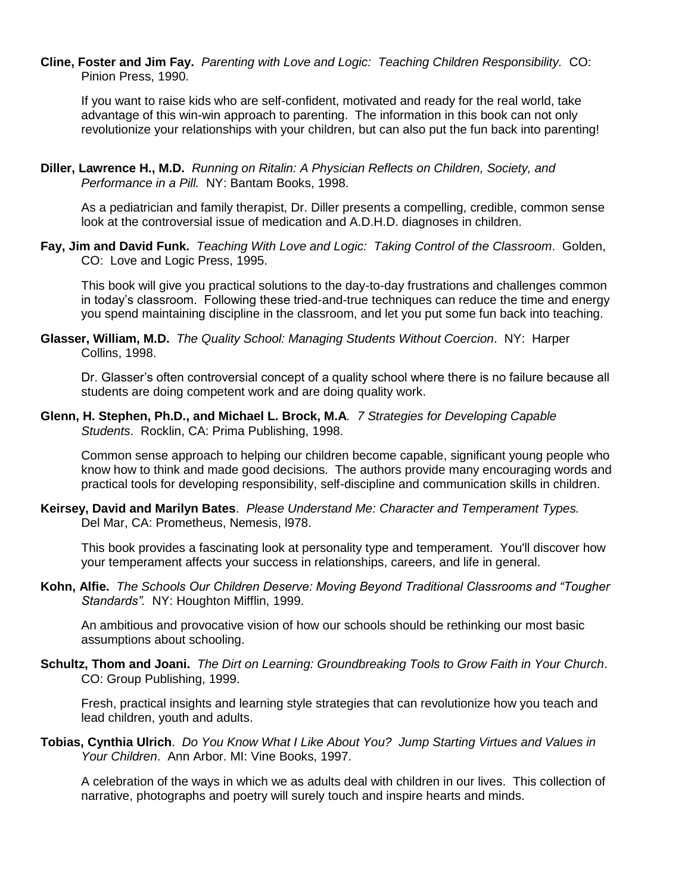**Cline, Foster and Jim Fay.** *Parenting with Love and Logic: Teaching Children Responsibility.* CO: Pinion Press, 1990.

If you want to raise kids who are self-confident, motivated and ready for the real world, take advantage of this win-win approach to parenting. The information in this book can not only revolutionize your relationships with your children, but can also put the fun back into parenting!

**Diller, Lawrence H., M.D.** *Running on Ritalin: A Physician Reflects on Children, Society, and Performance in a Pill.* NY: Bantam Books, 1998.

As a pediatrician and family therapist, Dr. Diller presents a compelling, credible, common sense look at the controversial issue of medication and A.D.H.D. diagnoses in children.

**Fay, Jim and David Funk.** *Teaching With Love and Logic: Taking Control of the Classroom*. Golden, CO: Love and Logic Press, 1995.

This book will give you practical solutions to the day-to-day frustrations and challenges common in today's classroom. Following these tried-and-true techniques can reduce the time and energy you spend maintaining discipline in the classroom, and let you put some fun back into teaching.

**Glasser, William, M.D.** *The Quality School: Managing Students Without Coercion*. NY: Harper Collins, 1998.

Dr. Glasser's often controversial concept of a quality school where there is no failure because all students are doing competent work and are doing quality work.

**Glenn, H. Stephen, Ph.D., and Michael L. Brock, M.A***. 7 Strategies for Developing Capable Students*. Rocklin, CA: Prima Publishing, 1998.

Common sense approach to helping our children become capable, significant young people who know how to think and made good decisions. The authors provide many encouraging words and practical tools for developing responsibility, self-discipline and communication skills in children.

**Keirsey, David and Marilyn Bates**. *Please Understand Me: Character and Temperament Types.* Del Mar, CA: Prometheus, Nemesis, l978.

This book provides a fascinating look at personality type and temperament. You'll discover how your temperament affects your success in relationships, careers, and life in general.

**Kohn, Alfie.** *The Schools Our Children Deserve: Moving Beyond Traditional Classrooms and "Tougher Standards".* NY: Houghton Mifflin, 1999.

An ambitious and provocative vision of how our schools should be rethinking our most basic assumptions about schooling.

**Schultz, Thom and Joani.** *The Dirt on Learning: Groundbreaking Tools to Grow Faith in Your Church*. CO: Group Publishing, 1999.

Fresh, practical insights and learning style strategies that can revolutionize how you teach and lead children, youth and adults.

**Tobias, Cynthia Ulrich**. *Do You Know What I Like About You? Jump Starting Virtues and Values in Your Children*. Ann Arbor. MI: Vine Books, 1997.

A celebration of the ways in which we as adults deal with children in our lives. This collection of narrative, photographs and poetry will surely touch and inspire hearts and minds.